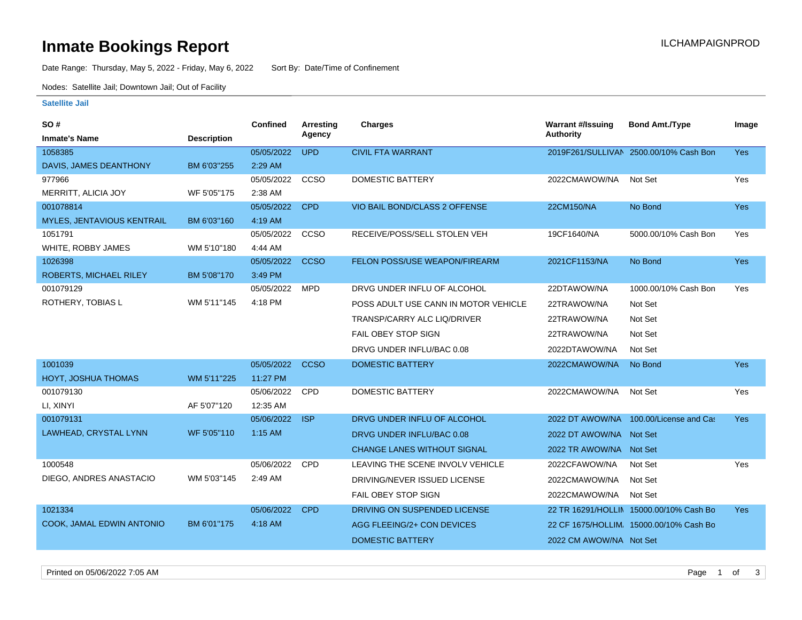## **Inmate Bookings Report International Contract Contract Contract Contract Contract Contract Contract Contract Contract Contract Contract Contract Contract Contract Contract Contract Contract Contract Contract Contract Co**

Date Range: Thursday, May 5, 2022 - Friday, May 6, 2022 Sort By: Date/Time of Confinement

Nodes: Satellite Jail; Downtown Jail; Out of Facility

### **Satellite Jail**

| SO#                           |                    | <b>Confined</b> | Arresting   | <b>Charges</b>                       | <b>Warrant #/Issuing</b> | <b>Bond Amt./Type</b>                   | Image      |
|-------------------------------|--------------------|-----------------|-------------|--------------------------------------|--------------------------|-----------------------------------------|------------|
| <b>Inmate's Name</b>          | <b>Description</b> |                 | Agency      |                                      | <b>Authority</b>         |                                         |            |
| 1058385                       |                    | 05/05/2022      | <b>UPD</b>  | <b>CIVIL FTA WARRANT</b>             |                          | 2019F261/SULLIVAN 2500.00/10% Cash Bon  | <b>Yes</b> |
| DAVIS, JAMES DEANTHONY        | BM 6'03"255        | 2:29 AM         |             |                                      |                          |                                         |            |
| 977966                        |                    | 05/05/2022      | CCSO        | <b>DOMESTIC BATTERY</b>              | 2022CMAWOW/NA            | Not Set                                 | Yes        |
| MERRITT, ALICIA JOY           | WF 5'05"175        | 2:38 AM         |             |                                      |                          |                                         |            |
| 001078814                     |                    | 05/05/2022      | <b>CPD</b>  | VIO BAIL BOND/CLASS 2 OFFENSE        | 22CM150/NA               | No Bond                                 | Yes        |
| MYLES, JENTAVIOUS KENTRAIL    | BM 6'03"160        | 4:19 AM         |             |                                      |                          |                                         |            |
| 1051791                       |                    | 05/05/2022      | CCSO        | RECEIVE/POSS/SELL STOLEN VEH         | 19CF1640/NA              | 5000.00/10% Cash Bon                    | Yes        |
| WHITE, ROBBY JAMES            | WM 5'10"180        | 4:44 AM         |             |                                      |                          |                                         |            |
| 1026398                       |                    | 05/05/2022      | <b>CCSO</b> | FELON POSS/USE WEAPON/FIREARM        | 2021CF1153/NA            | No Bond                                 | Yes        |
| <b>ROBERTS, MICHAEL RILEY</b> | BM 5'08"170        | 3:49 PM         |             |                                      |                          |                                         |            |
| 001079129                     |                    | 05/05/2022      | <b>MPD</b>  | DRVG UNDER INFLU OF ALCOHOL          | 22DTAWOW/NA              | 1000.00/10% Cash Bon                    | Yes        |
| ROTHERY, TOBIAS L             | WM 5'11"145        | 4:18 PM         |             | POSS ADULT USE CANN IN MOTOR VEHICLE | 22TRAWOW/NA              | Not Set                                 |            |
|                               |                    |                 |             | TRANSP/CARRY ALC LIQ/DRIVER          | 22TRAWOW/NA              | Not Set                                 |            |
|                               |                    |                 |             | <b>FAIL OBEY STOP SIGN</b>           | 22TRAWOW/NA              | Not Set                                 |            |
|                               |                    |                 |             | DRVG UNDER INFLU/BAC 0.08            | 2022DTAWOW/NA            | Not Set                                 |            |
| 1001039                       |                    | 05/05/2022      | <b>CCSO</b> | <b>DOMESTIC BATTERY</b>              | 2022CMAWOW/NA            | No Bond                                 | Yes        |
| HOYT, JOSHUA THOMAS           | WM 5'11"225        | 11:27 PM        |             |                                      |                          |                                         |            |
| 001079130                     |                    | 05/06/2022      | CPD         | <b>DOMESTIC BATTERY</b>              | 2022CMAWOW/NA            | Not Set                                 | Yes        |
| LI, XINYI                     | AF 5'07"120        | 12:35 AM        |             |                                      |                          |                                         |            |
| 001079131                     |                    | 05/06/2022      | <b>ISP</b>  | DRVG UNDER INFLU OF ALCOHOL          | 2022 DT AWOW/NA          | 100.00/License and Cas                  | <b>Yes</b> |
| LAWHEAD, CRYSTAL LYNN         | WF 5'05"110        | $1:15$ AM       |             | DRVG UNDER INFLU/BAC 0.08            | 2022 DT AWOW/NA Not Set  |                                         |            |
|                               |                    |                 |             | <b>CHANGE LANES WITHOUT SIGNAL</b>   | 2022 TR AWOW/NA Not Set  |                                         |            |
| 1000548                       |                    | 05/06/2022      | <b>CPD</b>  | LEAVING THE SCENE INVOLV VEHICLE     | 2022CFAWOW/NA            | Not Set                                 | Yes        |
| DIEGO, ANDRES ANASTACIO       | WM 5'03"145        | 2:49 AM         |             | DRIVING/NEVER ISSUED LICENSE         | 2022CMAWOW/NA            | Not Set                                 |            |
|                               |                    |                 |             | FAIL OBEY STOP SIGN                  | 2022CMAWOW/NA            | Not Set                                 |            |
| 1021334                       |                    | 05/06/2022      | <b>CPD</b>  | DRIVING ON SUSPENDED LICENSE         |                          | 22 TR 16291/HOLLIN 15000.00/10% Cash Bo | Yes        |
| COOK, JAMAL EDWIN ANTONIO     | BM 6'01"175        | 4:18 AM         |             | AGG FLEEING/2+ CON DEVICES           |                          | 22 CF 1675/HOLLIM. 15000.00/10% Cash Bo |            |
|                               |                    |                 |             | <b>DOMESTIC BATTERY</b>              | 2022 CM AWOW/NA Not Set  |                                         |            |
|                               |                    |                 |             |                                      |                          |                                         |            |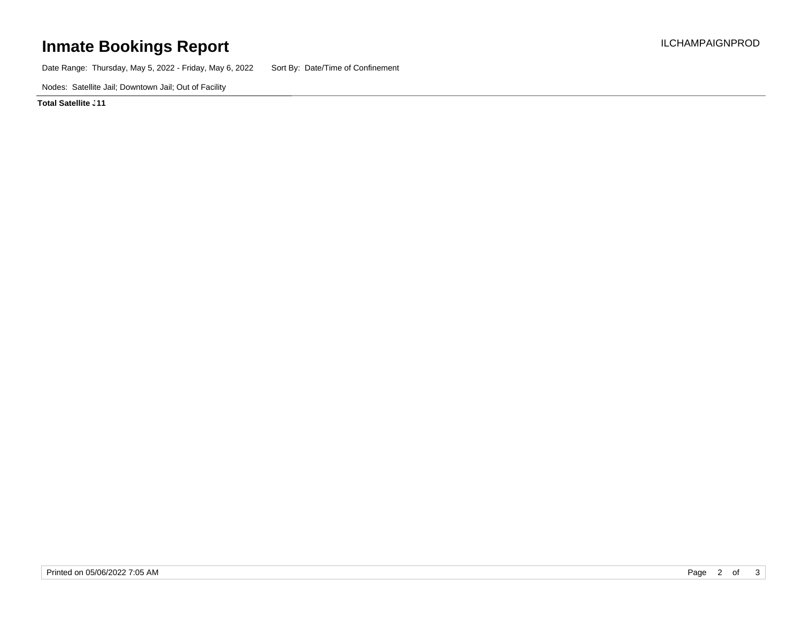# **Inmate Bookings Report Installation Control Control Control Control Control Control Control Control Control Control Control Control Control Control Control Control Control Control Control Control Control Control Control**

Date Range: Thursday, May 5, 2022 - Friday, May 6, 2022 Sort By: Date/Time of Confinement

Nodes: Satellite Jail; Downtown Jail; Out of Facility

**Total Satellite . 11**